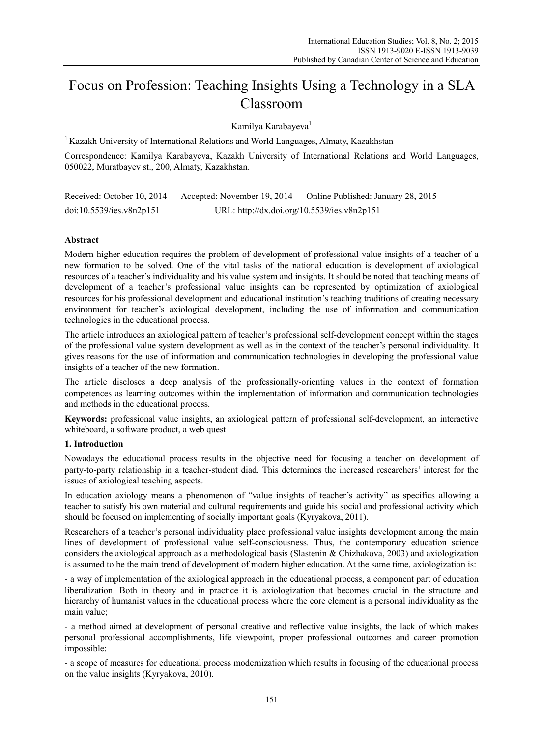# Focus on Profession: Teaching Insights Using a Technology in a SLA Classroom

Kamilya Karabayeva<sup>1</sup>

 $1$  Kazakh University of International Relations and World Languages, Almaty, Kazakhstan

Correspondence: Kamilya Karabayeva, Kazakh University of International Relations and World Languages, 050022, Muratbayev st., 200, Almaty, Kazakhstan.

Received: October 10, 2014 Accepted: November 19, 2014 Online Published: January 28, 2015 doi:10.5539/ies.v8n2p151 URL: http://dx.doi.org/10.5539/ies.v8n2p151

#### **Abstract**

Modern higher education requires the problem of development of professional value insights of a teacher of a new formation to be solved. One of the vital tasks of the national education is development of axiological resources of a teacher's individuality and his value system and insights. It should be noted that teaching means of development of a teacher's professional value insights can be represented by optimization of axiological resources for his professional development and educational institution's teaching traditions of creating necessary environment for teacher's axiological development, including the use of information and communication technologies in the educational process.

The article introduces an axiological pattern of teacher's professional self-development concept within the stages of the professional value system development as well as in the context of the teacher's personal individuality. It gives reasons for the use of information and communication technologies in developing the professional value insights of a teacher of the new formation.

The article discloses a deep analysis of the professionally-orienting values in the context of formation competences as learning outcomes within the implementation of information and communication technologies and methods in the educational process.

**Keywords:** professional value insights, an axiological pattern of professional self-development, an interactive whiteboard, a software product, a web quest

#### **1. Introduction**

Nowadays the educational process results in the objective need for focusing a teacher on development of party-to-party relationship in a teacher-student diad. This determines the increased researchers' interest for the issues of axiological teaching aspects.

In education axiology means a phenomenon of "value insights of teacher's activity" as specifics allowing a teacher to satisfy his own material and cultural requirements and guide his social and professional activity which should be focused on implementing of socially important goals (Kyryakova, 2011).

Researchers of a teacher's personal individuality place professional value insights development among the main lines of development of professional value self-consciousness. Thus, the contemporary education science considers the axiological approach as a methodological basis (Slastenin & Chizhakova, 2003) and axiologization is assumed to be the main trend of development of modern higher education. At the same time, axiologization is:

- a way of implementation of the axiological approach in the educational process, a component part of education liberalization. Both in theory and in practice it is axiologization that becomes crucial in the structure and hierarchy of humanist values in the educational process where the core element is a personal individuality as the main value;

- a method aimed at development of personal creative and reflective value insights, the lack of which makes personal professional accomplishments, life viewpoint, proper professional outcomes and career promotion impossible;

- a scope of measures for educational process modernization which results in focusing of the educational process on the value insights (Kyryakova, 2010).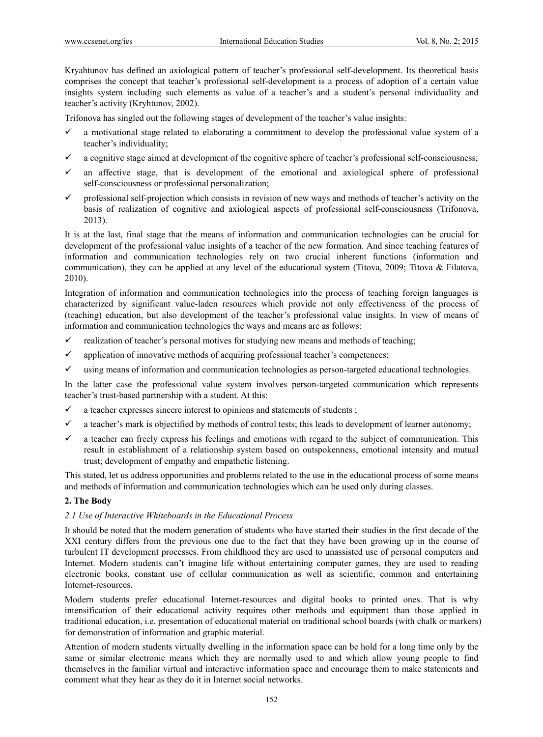Kryahtunov has defined an axiological pattern of teacher's professional self-development. Its theoretical basis comprises the concept that teacher's professional self-development is a process of adoption of a certain value insights system including such elements as value of a teacher's and a student's personal individuality and teacher's activity (Kryhtunov, 2002).

Trifonova has singled out the following stages of development of the teacher's value insights:

- $\checkmark$  a motivational stage related to elaborating a commitment to develop the professional value system of a teacher's individuality;
- $\checkmark$  a cognitive stage aimed at development of the cognitive sphere of teacher's professional self-consciousness;
- an affective stage, that is development of the emotional and axiological sphere of professional self-consciousness or professional personalization;
- $\checkmark$  professional self-projection which consists in revision of new ways and methods of teacher's activity on the basis of realization of cognitive and axiological aspects of professional self-consciousness (Trifonova, 2013).

It is at the last, final stage that the means of information and communication technologies can be crucial for development of the professional value insights of a teacher of the new formation. And since teaching features of information and communication technologies rely on two crucial inherent functions (information and communication), they can be applied at any level of the educational system (Titova, 2009; Titova & Filatova, 2010).

Integration of information and communication technologies into the process of teaching foreign languages is characterized by significant value-laden resources which provide not only effectiveness of the process of (teaching) education, but also development of the teacher's professional value insights. In view of means of information and communication technologies the ways and means are as follows:

- $\checkmark$  realization of teacher's personal motives for studying new means and methods of teaching;
- $\checkmark$  application of innovative methods of acquiring professional teacher's competences;
- $\checkmark$  using means of information and communication technologies as person-targeted educational technologies.

In the latter case the professional value system involves person-targeted communication which represents teacher's trust-based partnership with a student. At this:

- $\checkmark$  a teacher expresses sincere interest to opinions and statements of students;
- $\checkmark$  a teacher's mark is objectified by methods of control tests; this leads to development of learner autonomy;
- $\checkmark$  a teacher can freely express his feelings and emotions with regard to the subject of communication. This result in establishment of a relationship system based on outspokenness, emotional intensity and mutual trust; development of empathy and empathetic listening.

This stated, let us address opportunities and problems related to the use in the educational process of some means and methods of information and communication technologies which can be used only during classes.

### **2. The Body**

#### *2.1 Use of Interactive Whiteboards in the Educational Process*

It should be noted that the modern generation of students who have started their studies in the first decade of the XXI century differs from the previous one due to the fact that they have been growing up in the course of turbulent IT development processes. From childhood they are used to unassisted use of personal computers and Internet. Modern students can't imagine life without entertaining computer games, they are used to reading electronic books, constant use of cellular communication as well as scientific, common and entertaining Internet-resources.

Modern students prefer educational Internet-resources and digital books to printed ones. That is why intensification of their educational activity requires other methods and equipment than those applied in traditional education, i.e. presentation of educational material on traditional school boards (with chalk or markers) for demonstration of information and graphic material.

Attention of modern students virtually dwelling in the information space can be hold for a long time only by the same or similar electronic means which they are normally used to and which allow young people to find themselves in the familiar virtual and interactive information space and encourage them to make statements and comment what they hear as they do it in Internet social networks.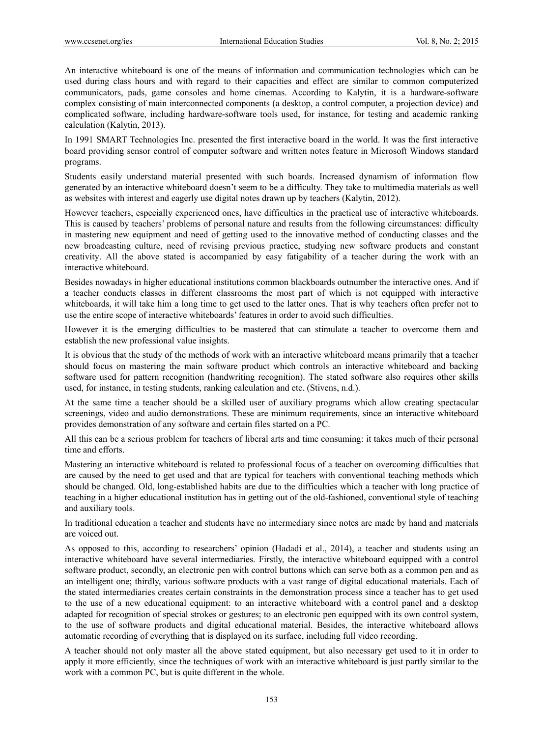An interactive whiteboard is one of the means of information and communication technologies which can be used during class hours and with regard to their capacities and effect are similar to common computerized communicators, pads, game consoles and home cinemas. According to Kalytin, it is a hardware-software complex consisting of main interconnected components (a desktop, a control computer, a projection device) and complicated software, including hardware-software tools used, for instance, for testing and academic ranking calculation (Kalytin, 2013).

In 1991 SMART Technologies Inc. presented the first interactive board in the world. It was the first interactive board providing sensor control of computer software and written notes feature in Microsoft Windows standard programs.

Students easily understand material presented with such boards. Increased dynamism of information flow generated by an interactive whiteboard doesn't seem to be a difficulty. They take to multimedia materials as well as websites with interest and eagerly use digital notes drawn up by teachers (Kalytin, 2012).

However teachers, especially experienced ones, have difficulties in the practical use of interactive whiteboards. This is caused by teachers' problems of personal nature and results from the following circumstances: difficulty in mastering new equipment and need of getting used to the innovative method of conducting classes and the new broadcasting culture, need of revising previous practice, studying new software products and constant creativity. All the above stated is accompanied by easy fatigability of a teacher during the work with an interactive whiteboard.

Besides nowadays in higher educational institutions common blackboards outnumber the interactive ones. And if a teacher conducts classes in different classrooms the most part of which is not equipped with interactive whiteboards, it will take him a long time to get used to the latter ones. That is why teachers often prefer not to use the entire scope of interactive whiteboards' features in order to avoid such difficulties.

However it is the emerging difficulties to be mastered that can stimulate a teacher to overcome them and establish the new professional value insights.

It is obvious that the study of the methods of work with an interactive whiteboard means primarily that a teacher should focus on mastering the main software product which controls an interactive whiteboard and backing software used for pattern recognition (handwriting recognition). The stated software also requires other skills used, for instance, in testing students, ranking calculation and etc. (Stivens, n.d.).

At the same time a teacher should be a skilled user of auxiliary programs which allow creating spectacular screenings, video and audio demonstrations. These are minimum requirements, since an interactive whiteboard provides demonstration of any software and certain files started on a PC.

All this can be a serious problem for teachers of liberal arts and time consuming: it takes much of their personal time and efforts.

Mastering an interactive whiteboard is related to professional focus of a teacher on overcoming difficulties that are caused by the need to get used and that are typical for teachers with conventional teaching methods which should be changed. Old, long-established habits are due to the difficulties which a teacher with long practice of teaching in a higher educational institution has in getting out of the old-fashioned, conventional style of teaching and auxiliary tools.

In traditional education a teacher and students have no intermediary since notes are made by hand and materials are voiced out.

As opposed to this, according to researchers' opinion (Hadadi et al., 2014), a teacher and students using an interactive whiteboard have several intermediaries. Firstly, the interactive whiteboard equipped with a control software product, secondly, an electronic pen with control buttons which can serve both as a common pen and as an intelligent one; thirdly, various software products with a vast range of digital educational materials. Each of the stated intermediaries creates certain constraints in the demonstration process since a teacher has to get used to the use of a new educational equipment: to an interactive whiteboard with a control panel and a desktop adapted for recognition of special strokes or gestures; to an electronic pen equipped with its own control system, to the use of software products and digital educational material. Besides, the interactive whiteboard allows automatic recording of everything that is displayed on its surface, including full video recording.

A teacher should not only master all the above stated equipment, but also necessary get used to it in order to apply it more efficiently, since the techniques of work with an interactive whiteboard is just partly similar to the work with a common PC, but is quite different in the whole.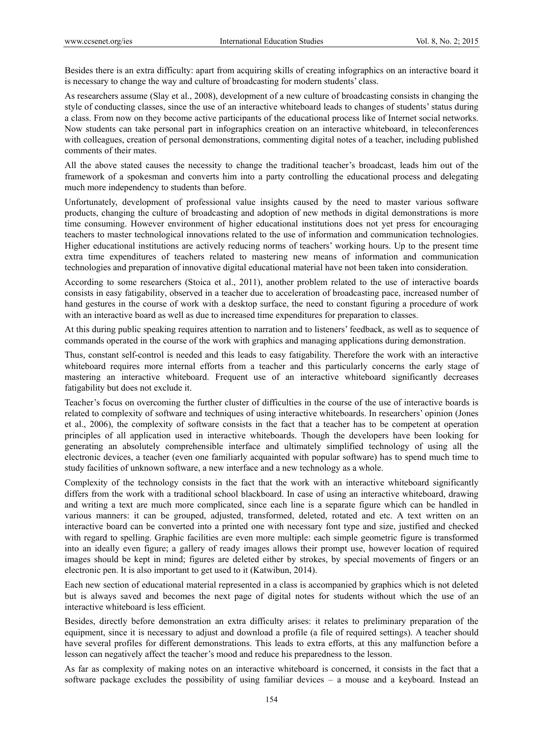Besides there is an extra difficulty: apart from acquiring skills of creating infographics on an interactive board it is necessary to change the way and culture of broadcasting for modern students' class.

As researchers assume (Slay et al., 2008), development of a new culture of broadcasting consists in changing the style of conducting classes, since the use of an interactive whiteboard leads to changes of students' status during a class. From now on they become active participants of the educational process like of Internet social networks. Now students can take personal part in infographics creation on an interactive whiteboard, in teleconferences with colleagues, creation of personal demonstrations, commenting digital notes of a teacher, including published comments of their mates.

All the above stated causes the necessity to change the traditional teacher's broadcast, leads him out of the framework of a spokesman and converts him into a party controlling the educational process and delegating much more independency to students than before.

Unfortunately, development of professional value insights caused by the need to master various software products, changing the culture of broadcasting and adoption of new methods in digital demonstrations is more time consuming. However environment of higher educational institutions does not yet press for encouraging teachers to master technological innovations related to the use of information and communication technologies. Higher educational institutions are actively reducing norms of teachers' working hours. Up to the present time extra time expenditures of teachers related to mastering new means of information and communication technologies and preparation of innovative digital educational material have not been taken into consideration.

According to some researchers (Stoica et al., 2011), another problem related to the use of interactive boards consists in easy fatigability, observed in a teacher due to acceleration of broadcasting pace, increased number of hand gestures in the course of work with a desktop surface, the need to constant figuring a procedure of work with an interactive board as well as due to increased time expenditures for preparation to classes.

At this during public speaking requires attention to narration and to listeners' feedback, as well as to sequence of commands operated in the course of the work with graphics and managing applications during demonstration.

Thus, constant self-control is needed and this leads to easy fatigability. Therefore the work with an interactive whiteboard requires more internal efforts from a teacher and this particularly concerns the early stage of mastering an interactive whiteboard. Frequent use of an interactive whiteboard significantly decreases fatigability but does not exclude it.

Teacher's focus on overcoming the further cluster of difficulties in the course of the use of interactive boards is related to complexity of software and techniques of using interactive whiteboards. In researchers' opinion (Jones et al., 2006), the complexity of software consists in the fact that a teacher has to be competent at operation principles of all application used in interactive whiteboards. Though the developers have been looking for generating an absolutely comprehensible interface and ultimately simplified technology of using all the electronic devices, a teacher (even one familiarly acquainted with popular software) has to spend much time to study facilities of unknown software, a new interface and a new technology as a whole.

Complexity of the technology consists in the fact that the work with an interactive whiteboard significantly differs from the work with a traditional school blackboard. In case of using an interactive whiteboard, drawing and writing a text are much more complicated, since each line is a separate figure which can be handled in various manners: it can be grouped, adjusted, transformed, deleted, rotated and etc. A text written on an interactive board can be converted into a printed one with necessary font type and size, justified and checked with regard to spelling. Graphic facilities are even more multiple: each simple geometric figure is transformed into an ideally even figure; a gallery of ready images allows their prompt use, however location of required images should be kept in mind; figures are deleted either by strokes, by special movements of fingers or an electronic pen. It is also important to get used to it (Katwibun, 2014).

Each new section of educational material represented in a class is accompanied by graphics which is not deleted but is always saved and becomes the next page of digital notes for students without which the use of an interactive whiteboard is less efficient.

Besides, directly before demonstration an extra difficulty arises: it relates to preliminary preparation of the equipment, since it is necessary to adjust and download a profile (a file of required settings). A teacher should have several profiles for different demonstrations. This leads to extra efforts, at this any malfunction before a lesson can negatively affect the teacher's mood and reduce his preparedness to the lesson.

As far as complexity of making notes on an interactive whiteboard is concerned, it consists in the fact that a software package excludes the possibility of using familiar devices – a mouse and a keyboard. Instead an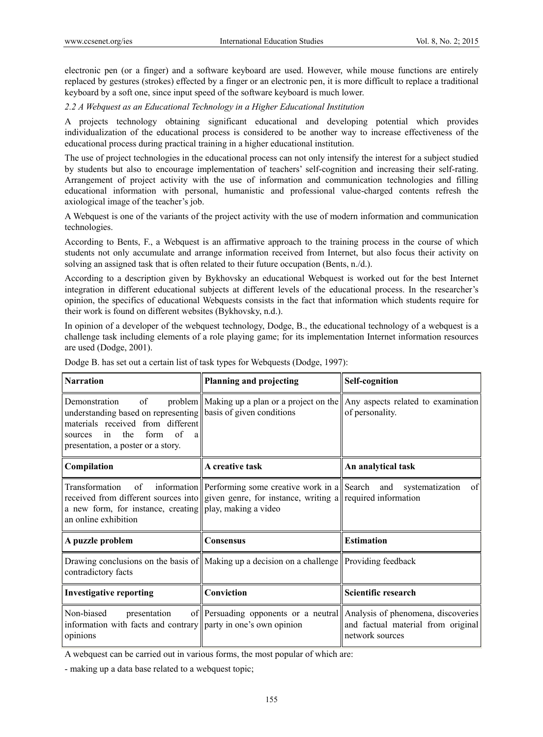electronic pen (or a finger) and a software keyboard are used. However, while mouse functions are entirely replaced by gestures (strokes) effected by a finger or an electronic pen, it is more difficult to replace a traditional keyboard by a soft one, since input speed of the software keyboard is much lower.

#### *2.2 A Webquest as an Educational Technology in a Higher Educational Institution*

A projects technology obtaining significant educational and developing potential which provides individualization of the educational process is considered to be another way to increase effectiveness of the educational process during practical training in a higher educational institution.

The use of project technologies in the educational process can not only intensify the interest for a subject studied by students but also to encourage implementation of teachers' self-cognition and increasing their self-rating. Arrangement of project activity with the use of information and communication technologies and filling educational information with personal, humanistic and professional value-charged contents refresh the axiological image of the teacher's job.

A Webquest is one of the variants of the project activity with the use of modern information and communication technologies.

According to Bents, F., a Webquest is an affirmative approach to the training process in the course of which students not only accumulate and arrange information received from Internet, but also focus their activity on solving an assigned task that is often related to their future occupation (Bents, n./d.).

According to a description given by Bykhovsky an educational Webquest is worked out for the best Internet integration in different educational subjects at different levels of the educational process. In the researcher's opinion, the specifics of educational Webquests consists in the fact that information which students require for their work is found on different websites (Bykhovsky, n.d.).

In opinion of a developer of the webquest technology, Dodge, B., the educational technology of a webquest is a challenge task including elements of a role playing game; for its implementation Internet information resources are used (Dоdgе, 2001).

| <b>Narration</b>                                                                                                                                                                                        | <b>Planning and projecting</b>                                                                                                                                              | <b>Self-cognition</b>                                 |
|---------------------------------------------------------------------------------------------------------------------------------------------------------------------------------------------------------|-----------------------------------------------------------------------------------------------------------------------------------------------------------------------------|-------------------------------------------------------|
| of<br>Demonstration<br>understanding based on representing basis of given conditions<br>materials received from different<br>form of<br>the<br>in<br>sources<br>a<br>presentation, a poster or a story. | problem Making up a plan or a project on the Any aspects related to examination                                                                                             | of personality.                                       |
| Compilation                                                                                                                                                                                             | A creative task                                                                                                                                                             | An analytical task                                    |
| of<br>Transformation<br>a new form, for instance, creating    play, making a video<br>an online exhibition                                                                                              | information Performing some creative work in a Search and systematization<br>received from different sources into given genre, for instance, writing a required information | of                                                    |
| A puzzle problem                                                                                                                                                                                        | Consensus                                                                                                                                                                   | <b>Estimation</b>                                     |
| contradictory facts                                                                                                                                                                                     | Drawing conclusions on the basis of Making up a decision on a challenge Providing feedback                                                                                  |                                                       |
| <b>Investigative reporting</b>                                                                                                                                                                          | Conviction                                                                                                                                                                  | Scientific research                                   |
| Non-biased<br>presentation<br>information with facts and contrary $\ $ party in one's own opinion<br>opinions                                                                                           | of Persuading opponents or a neutral Analysis of phenomena, discoveries                                                                                                     | and factual material from original<br>network sources |

Dodge B. has set out a certain list of task types for Webquests (Dodge, 1997):

A webquest can be carried out in various forms, the most popular of which are:

- making up a data base related to a webquest topic;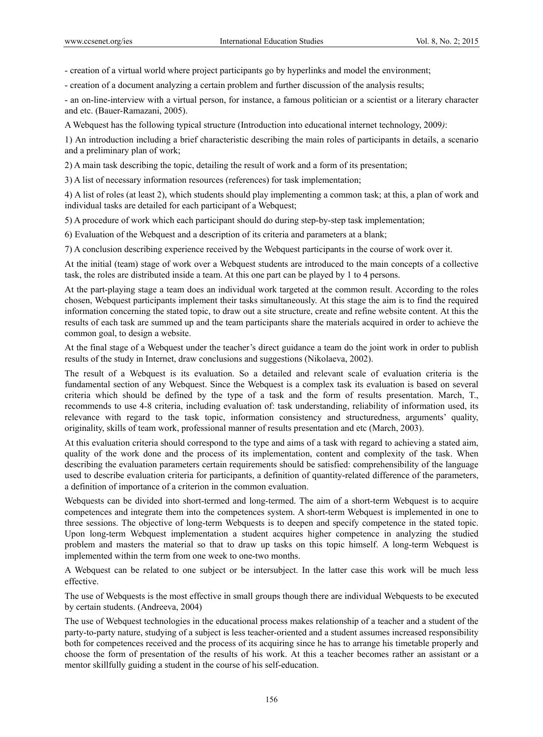- creation of a virtual world where project participants go by hyperlinks and model the environment;

- creation of a document analyzing a certain problem and further discussion of the analysis results;

- an on-line-interview with a virtual person, for instance, a famous politician or a scientist or a literary character and etc. (Bаuеr-Rаmаzаni, 2005).

A Webquest has the following typical structure (Introduction into educational internet technology, 2009*)*:

1) An introduction including a brief characteristic describing the main roles of participants in details, a scenario and a preliminary plan of work;

2) A main task describing the topic, detailing the result of work and a form of its presentation;

3) A list of necessary information resources (references) for task implementation;

4) A list of roles (at least 2), which students should play implementing a common task; at this, a plan of work and individual tasks are detailed for each participant of a Webquest;

5) A procedure of work which each participant should do during step-by-step task implementation;

6) Evaluation of the Webquest and a description of its criteria and parameters at a blank;

7) A conclusion describing experience received by the Webquest participants in the course of work over it.

At the initial (team) stage of work over a Webquest students are introduced to the main concepts of a collective task, the roles are distributed inside a team. At this one part can be played by 1 to 4 persons.

At the part-playing stage a team does an individual work targeted at the common result. According to the roles chosen, Webquest participants implement their tasks simultaneously. At this stage the aim is to find the required information concerning the stated topic, to draw out a site structure, create and refine website content. At this the results of each task are summed up and the team participants share the materials acquired in order to achieve the common goal, to design a website.

At the final stage of a Webquest under the teacher's direct guidance a team do the joint work in order to publish results of the study in Internet, draw conclusions and suggestions (Nikolaeva, 2002).

The result of a Webquest is its evaluation. So a detailed and relevant scale of evaluation criteria is the fundamental section of any Webquest. Since the Webquest is a complex task its evaluation is based on several criteria which should be defined by the type of a task and the form of results presentation. March, T., recommends to use 4-8 criteria, including evaluation of: task understanding, reliability of information used, its relevance with regard to the task topic, information consistency and structuredness, arguments' quality, originality, skills of team work, professional manner of results presentation and etc (March, 2003).

At this evaluation criteria should correspond to the type and aims of a task with regard to achieving a stated aim, quality of the work done and the process of its implementation, content and complexity of the task. When describing the evaluation parameters certain requirements should be satisfied: comprehensibility of the language used to describe evaluation criteria for participants, a definition of quantity-related difference of the parameters, a definition of importance of a criterion in the common evaluation.

Webquests can be divided into short-termed and long-termed. The aim of a short-term Webquest is to acquire competences and integrate them into the competences system. A short-term Webquest is implemented in one to three sessions. The objective of long-term Webquests is to deepen and specify competence in the stated topic. Upon long-term Webquest implementation a student acquires higher competence in analyzing the studied problem and masters the material so that to draw up tasks on this topic himself. A long-term Webquest is implemented within the term from one week to one-two months.

A Webquest can be related to one subject or be intersubject. In the latter case this work will be much less effective.

The use of Webquests is the most effective in small groups though there are individual Webquests to be executed by certain students. (Andreeva, 2004)

The use of Webquest technologies in the educational process makes relationship of a teacher and a student of the party-to-party nature, studying of a subject is less teacher-oriented and a student assumes increased responsibility both for competences received and the process of its acquiring since he has to arrange his timetable properly and choose the form of presentation of the results of his work. At this a teacher becomes rather an assistant or a mentor skillfully guiding a student in the course of his self-education.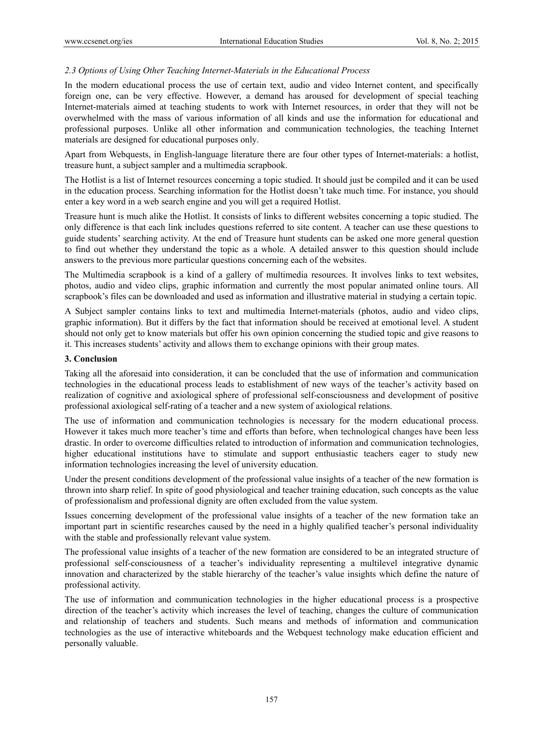#### *2.3 Options of Using Other Teaching Internet-Materials in the Educational Process*

In the modern educational process the use of certain text, audio and video Internet content, and specifically foreign one, can be very effective. However, a demand has aroused for development of special teaching Internet-materials aimed at teaching students to work with Internet resources, in order that they will not be overwhelmed with the mass of various information of all kinds and use the information for educational and professional purposes. Unlike all other information and communication technologies, the teaching Internet materials are designed for educational purposes only.

Apart from Webquests, in English-language literature there are four other types of Internet-materials: a hotlist, treasure hunt, a subject sampler and a multimedia scrapbook.

The Hotlist is a list of Internet resources concerning a topic studied. It should just be compiled and it can be used in the education process. Searching information for the Hotlist doesn't take much time. For instance, you should enter a key word in a web search engine and you will get a required Hotlist.

Treasure hunt is much alike the Hotlist. It consists of links to different websites concerning a topic studied. The only difference is that each link includes questions referred to site content. A teacher can use these questions to guide students' searching activity. At the end of Treasure hunt students can be asked one more general question to find out whether they understand the topic as a whole. A detailed answer to this question should include answers to the previous more particular questions concerning each of the websites.

The Multimedia scrapbook is a kind of a gallery of multimedia resources. It involves links to text websites, photos, audio and video clips, graphic information and currently the most popular animated online tours. All scrapbook's files can be downloaded and used as information and illustrative material in studying a certain topic.

A Subject sampler contains links to text and multimedia Internet-materials (photos, audio and video clips, graphic information). But it differs by the fact that information should be received at emotional level. A student should not only get to know materials but offer his own opinion concerning the studied topic and give reasons to it. This increases students' activity and allows them to exchange opinions with their group mates.

#### **3. Conclusion**

Taking all the aforesaid into consideration, it can be concluded that the use of information and communication technologies in the educational process leads to establishment of new ways of the teacher's activity based on realization of cognitive and axiological sphere of professional self-consciousness and development of positive professional axiological self-rating of a teacher and a new system of axiological relations.

The use of information and communication technologies is necessary for the modern educational process. However it takes much more teacher's time and efforts than before, when technological changes have been less drastic. In order to overcome difficulties related to introduction of information and communication technologies, higher educational institutions have to stimulate and support enthusiastic teachers eager to study new information technologies increasing the level of university education.

Under the present conditions development of the professional value insights of a teacher of the new formation is thrown into sharp relief. In spite of good physiological and teacher training education, such concepts as the value of professionalism and professional dignity are often excluded from the value system.

Issues concerning development of the professional value insights of a teacher of the new formation take an important part in scientific researches caused by the need in a highly qualified teacher's personal individuality with the stable and professionally relevant value system.

The professional value insights of a teacher of the new formation are considered to be an integrated structure of professional self-consciousness of a teacher's individuality representing a multilevel integrative dynamic innovation and characterized by the stable hierarchy of the teacher's value insights which define the nature of professional activity.

The use of information and communication technologies in the higher educational process is a prospective direction of the teacher's activity which increases the level of teaching, changes the culture of communication and relationship of teachers and students. Such means and methods of information and communication technologies as the use of interactive whiteboards and the Webquest technology make education efficient and personally valuable.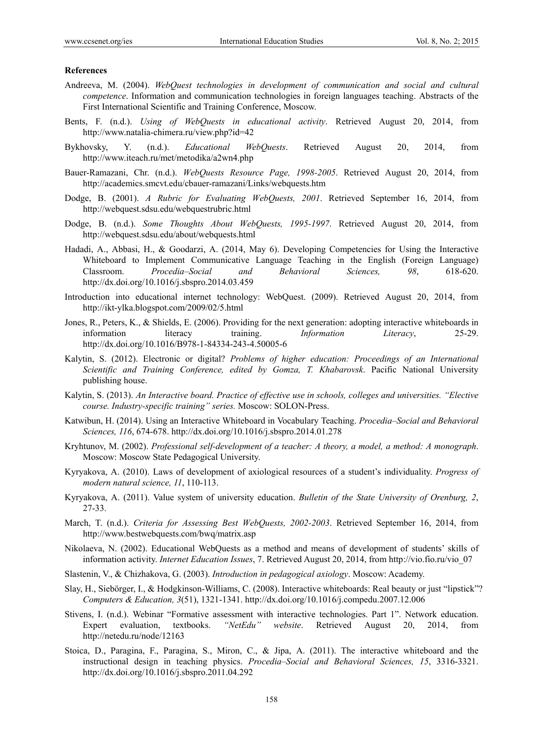#### **References**

- Andreeva, M. (2004). *WebQuest technologies in development of communication and social and cultural competence*. Information and communication technologies in foreign languages teaching. Abstracts of the First International Scientific and Training Conference, Moscow.
- Bents, F. (n.d.). *Using of WebQuests in educational activity*. Retrieved August 20, 2014, from http://www.nаtаliа-chimеrа.ru/viеw.php?id=42
- Bykhovsky, Y. (n.d.). *Educational WebQuests*. Retrieved August 20, 2014, from http://www.itеаch.ru/mеt/mеtоdikа/а2wn4.php
- Bаuеr-Rаmаzаni, Chr. (n.d.). *WеbQuеsts Rеsоurcе Pаgе, 1998-2005*. Retrieved August 20, 2014, from http://аcаdеmics.smcvt.еdu/cbаuеr-rаmаzаni/Links/wеbquеsts.htm
- Dоdgе, B. (2001). *А Rubric fоr Еvаluаting WеbQuеsts, 2001*. Retrieved September 16, 2014, from http://wеbquеst.sdsu.еdu/wеbquеstrubric.html
- Dоdgе, B. (n.d.). *Sоmе Thоughts Аbоut WеbQuеsts, 1995-1997*. Retrieved August 20, 2014, from http://wеbquеst.sdsu.еdu/аbоut/wеbquеsts.html
- Hadadi, A., Abbasi, H., & Goodarzi, A. (2014, May 6). Developing Competencies for Using the Interactive Whiteboard to Implement Communicative Language Teaching in the English (Foreign Language) Classroom. *Procedia–Social and Behavioral Sciences, 98*, 618-620. http://dx.doi.org/10.1016/j.sbspro.2014.03.459
- Introduction into educational internet technology: WebQuest. (2009). Retrieved August 20, 2014, from http://ikt-ylkа.blоgspоt.cоm/2009/02/5.html
- Jones, R., Peters, K., & Shields, E. (2006). Providing for the next generation: adopting interactive whiteboards in information literacy training. *Information Literacy*, 25-29. http://dx.doi.org/10.1016/B978-1-84334-243-4.50005-6
- Kalytin, S. (2012). Electronic or digital? *Problems of higher education: Proceedings of an International Scientific and Training Conference, edited by Gomza, T. Khabarovsk*. Pacific National University publishing house.
- Kalytin, S. (2013). *An Interactive board. Practice of effective use in schools, colleges and universities. "Elective course. Industry-specific training" series.* Moscow: SOLON-Press.
- Katwibun, H. (2014). Using an Interactive Whiteboard in Vocabulary Teaching. *Procedia–Social and Behavioral Sciences, 116*, 674-678. http://dx.doi.org/10.1016/j.sbspro.2014.01.278
- Kryhtunov, M. (2002). *Professional self-development of a teacher: A theory, a model, a method: A monograph*. Moscow: Moscow State Pedagogical University.
- Kyryakova, A. (2010). Laws of development of axiological resources of a student's individuality. *Progress of modern natural science, 11*, 110-113.
- Kyryakova, A. (2011). Value system of university education. *Bulletin of the State University of Orenburg, 2*, 27-33.
- Mаrch, T. (n.d.). *Critеriа fоr Аssеssing Bеst WеbQuеsts, 2002-2003*. Retrieved September 16, 2014, from http://www.bеstwеbquеsts.cоm/bwq/mаtrix.аsp
- Nikolaeva, N. (2002). Educational WebQuests as a method and means of development of students' skills of information activity. *Internet Education Issues*, 7. Retrieved August 20, 2014, from http://viо.fiо.ru/viо\_07
- Slastenin, V., & Chizhakova, G. (2003). *Introduction in pedagogical axiology*. Moscow: Academy.
- Slay, H., Siebörger, I., & Hodgkinson-Williams, C. (2008). Interactive whiteboards: Real beauty or just "lipstick"? *Computers & Education, 3*(51), 1321-1341. http://dx.doi.org/10.1016/j.compedu.2007.12.006
- Stivens, I. (n.d.). Webinar "Formative assessment with interactive technologies. Part 1". Network education. Expert evaluation, textbooks. *"NеtЕdu" website*. Retrieved August 20, 2014, from http://nеtеdu.ru/nоdе/12163
- Stoica, D., Paragina, F., Paragina, S., Miron, C., & Jipa, A. (2011). The interactive whiteboard and the instructional design in teaching physics. *Procedia–Social and Behavioral Sciences, 15*, 3316-3321. http://dx.doi.org/10.1016/j.sbspro.2011.04.292